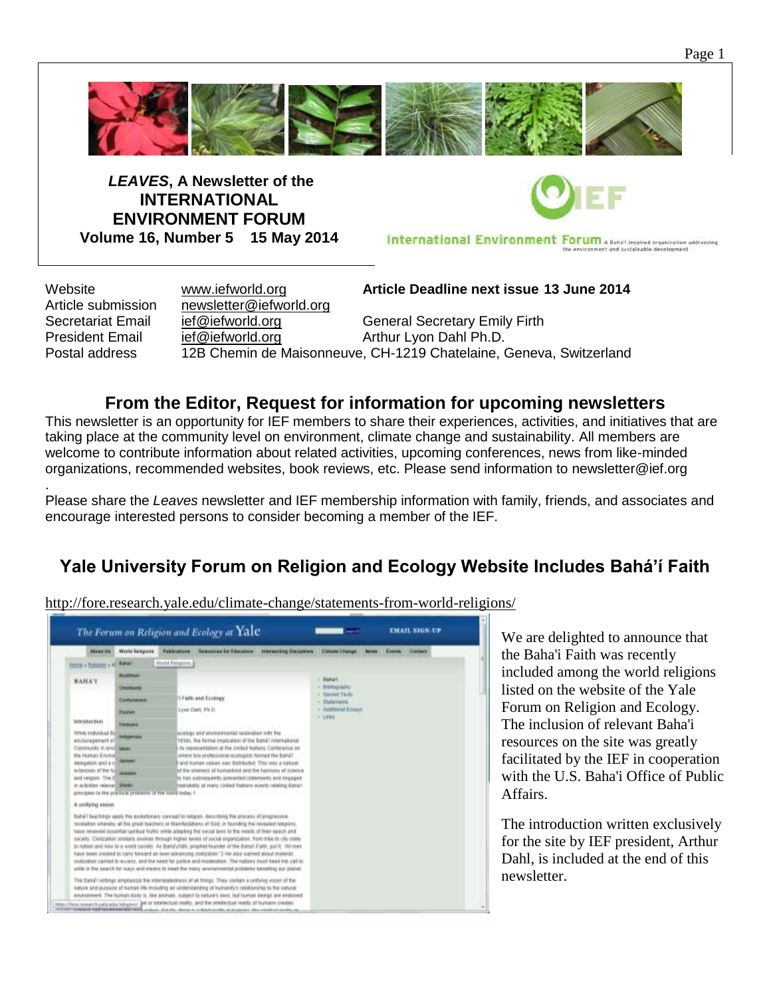

*LEAVES***, A Newsletter of the INTERNATIONAL ENVIRONMENT FORUM Volume 16, Number 5 15 May 2014**



International Environment Forum a Baha'i Inspired organization addressing

Article submission [newsletter@iefworld.org](mailto:newsletter@iefworld.org)

Website [www.iefworld.org](http://www.iefworld.org/) **Article Deadline next issue 13 June 2014**

Secretariat Email [ief@iefworld.org](mailto:ief@iefworld.org) General Secretary Emily Firth President Email [ief@iefworld.org](mailto:ief@iefworld.org) **Arthur Lyon Dahl Ph.D.** Postal address 12B Chemin de Maisonneuve, CH-1219 Chatelaine, Geneva, Switzerland

### **From the Editor, Request for information for upcoming newsletters**

This newsletter is an opportunity for IEF members to share their experiences, activities, and initiatives that are taking place at the community level on environment, climate change and sustainability. All members are welcome to contribute information about related activities, upcoming conferences, news from like-minded organizations, recommended websites, book reviews, etc. Please send information to [newsletter@ief.org](mailto:newsletter@ief.org)

. Please share the *Leaves* newsletter and IEF membership information with family, friends, and associates and encourage interested persons to consider becoming a member of the IEF.

# **Yale University Forum on Religion and Ecology Website Includes Bahá'í Faith**

The Forum on Religion and Ecology at Yale **EMAIL SIGN-UP** Absente World Schpune Publications Ser there - furnise - or Retail [Wild Felipine] **BAHAT Buka't Chestuate TAINE TOOL Trath and Econopy** Constantino Lynn Date, Ph D. Accord Econy thereon. wordscton **HARASH** Virtue individual die metaporante<br>Antologique verti et . sines and promovemental technologies to the line 1939), the formal implication of the Bahal Intomational<br>Its representation at the United Nations Conforence on Contractly in environment Te Human Enviro where his professional ecologists himself the Bandi'. The Human Environ<br>Selection and a scheme<br>Antonian af the factorism<br>Antonian and Human<br>The Antonian Mexicon I and furnant values was distributed. This was a turkins<br>of the ananesis of furnantimit and the hermony of powner<br>for her subtequently preserved statements and engaged a schutzer relevant Blanks structurity of marty Linited Robbins events relating Elebal pression to the preface protocol of the word today 1 A unifying vision Birtalt keachings apply the excludentary concept to religion. describing the process of programme<br>revealitor wheatly all the great teachers or Mambuslations of Oad, in founding the revealed religions,<br>have renoved opportun society. Clarication protiate excites through higher levels of packs expensation. New tribe to city risks<br>to nation and haw to a weet sackity. As Bahá'u'lidit, prophet founder of the Baba'i Fallit, pat it, "Wi mes<br>have bee stylization carried to excess, and the need far justice and residention. The nations must been kits call is while in the search he varys and means to meet the many environmental problems benefiting our plane. The Band ( writings ampheiste the internationhese of all things. They contain a unifying vision of the nature and purpice of nursen life including air understanding of humanity's retationship to the natural environment. The human tiesly is, like ammets, subject to nature's bors, but human beings are endowed ...<br>This connections stated place and the Webschall width, and the intellectual leady of hard

<http://fore.research.yale.edu/climate-change/statements-from-world-religions/>

We are delighted to announce that the Baha'i Faith was recently included among the world religions listed on the website of the Yale Forum on Religion and Ecology. The inclusion of relevant Baha'i resources on the site was greatly facilitated by the IEF in cooperation with the U.S. Baha'i Office of Public Affairs.

The introduction written exclusively for the site by IEF president, Arthur Dahl, is included at the end of this newsletter.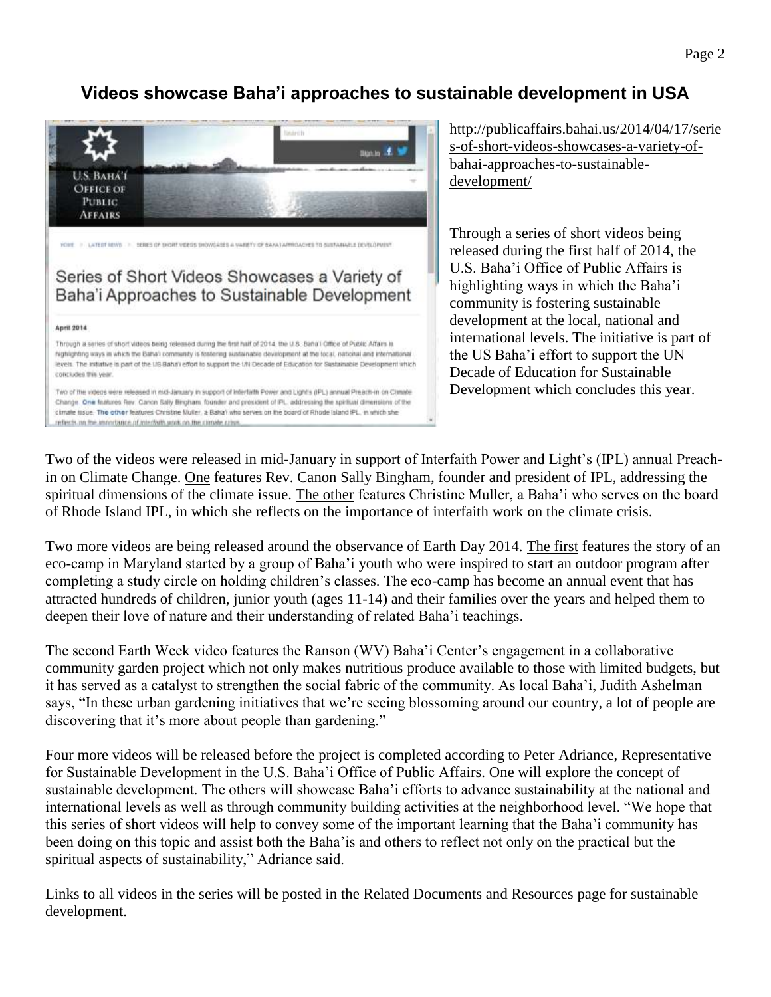## **Videos showcase Baha'i approaches to sustainable development in USA**



[http://publicaffairs.bahai.us/2014/04/17/serie](http://publicaffairs.bahai.us/2014/04/17/series-of-short-videos-showcases-a-variety-of-bahai-approaches-to-sustainable-development/) [s-of-short-videos-showcases-a-variety-of](http://publicaffairs.bahai.us/2014/04/17/series-of-short-videos-showcases-a-variety-of-bahai-approaches-to-sustainable-development/)[bahai-approaches-to-sustainable](http://publicaffairs.bahai.us/2014/04/17/series-of-short-videos-showcases-a-variety-of-bahai-approaches-to-sustainable-development/)[development/](http://publicaffairs.bahai.us/2014/04/17/series-of-short-videos-showcases-a-variety-of-bahai-approaches-to-sustainable-development/)

Through a series of short videos being released during the first half of 2014, the U.S. Baha'i Office of Public Affairs is highlighting ways in which the Baha'i community is fostering sustainable development at the local, national and international levels. The initiative is part of the US Baha'i effort to support the UN Decade of Education for Sustainable Development which concludes this year.

Two of the videos were released in mid-January in support of Interfaith Power and Light's (IPL) annual Preachin on Climate Change. [One](http://www.youtube.com/watch?v=PPNpF5CcKWA) features Rev. Canon Sally Bingham, founder and president of IPL, addressing the spiritual dimensions of the climate issue. [The other](http://www.youtube.com/watch?v=VHR2ajDmsSU) features Christine Muller, a Baha'i who serves on the board of Rhode Island IPL, in which she reflects on the importance of interfaith work on the climate crisis.

Two more videos are being released around the observance of Earth Day 2014. [The first](https://www.youtube.com/watch?v=SarFr2SIBrI) features the story of an eco-camp in Maryland started by a group of Baha'i youth who were inspired to start an outdoor program after completing a study circle on holding children's classes. The eco-camp has become an annual event that has attracted hundreds of children, junior youth (ages 11-14) and their families over the years and helped them to deepen their love of nature and their understanding of related Baha'i teachings.

The second Earth Week video features the Ranson (WV) Baha'i Center's engagement in a collaborative community garden project which not only makes nutritious produce available to those with limited budgets, but it has served as a catalyst to strengthen the social fabric of the community. As local Baha'i, Judith Ashelman says, "In these urban gardening initiatives that we're seeing blossoming around our country, a lot of people are discovering that it's more about people than gardening."

Four more videos will be released before the project is completed according to Peter Adriance, Representative for Sustainable Development in the U.S. Baha'i Office of Public Affairs. One will explore the concept of sustainable development. The others will showcase Baha'i efforts to advance sustainability at the national and international levels as well as through community building activities at the neighborhood level. "We hope that this series of short videos will help to convey some of the important learning that the Baha'i community has been doing on this topic and assist both the Baha'is and others to reflect not only on the practical but the spiritual aspects of sustainability," Adriance said.

Links to all videos in the series will be posted in the [Related Documents and Resources](http://publicaffairs.bahai.us/what-we-do/sustainable-development/related-documents-and-resources/) page for sustainable development.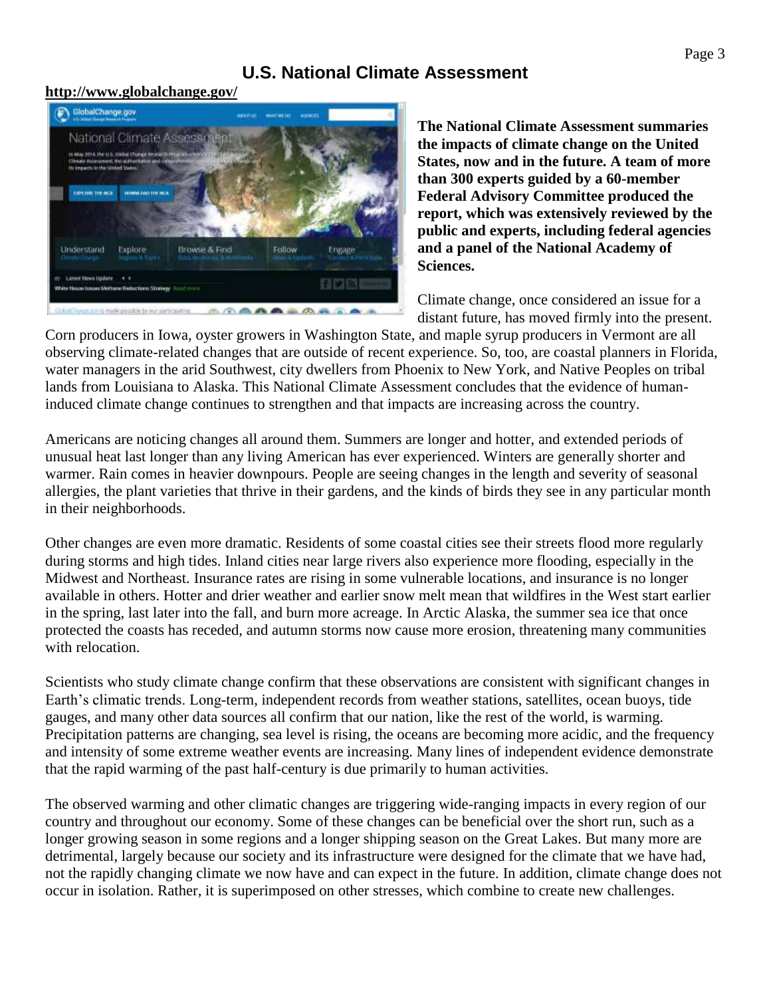### **U.S. National Climate Assessment**

#### **<http://www.globalchange.gov/>**



**The National Climate Assessment summaries the impacts of climate change on the United States, now and in the future. A team of more than 300 experts guided by a 60-member Federal Advisory Committee produced the report, which was extensively reviewed by the public and experts, including federal agencies and a panel of the National Academy of Sciences.**

Climate change, once considered an issue for a distant future, has moved firmly into the present.

Corn producers in Iowa, oyster growers in Washington State, and maple syrup producers in Vermont are all observing climate-related changes that are outside of recent experience. So, too, are coastal planners in Florida, water managers in the arid Southwest, city dwellers from Phoenix to New York, and Native Peoples on tribal lands from Louisiana to Alaska. This National Climate Assessment concludes that the evidence of humaninduced climate change continues to strengthen and that impacts are increasing across the country.

Americans are noticing changes all around them. Summers are longer and hotter, and extended periods of unusual heat last longer than any living American has ever experienced. Winters are generally shorter and warmer. Rain comes in heavier downpours. People are seeing changes in the length and severity of seasonal allergies, the plant varieties that thrive in their gardens, and the kinds of birds they see in any particular month in their neighborhoods.

Other changes are even more dramatic. Residents of some coastal cities see their streets flood more regularly during storms and high tides. Inland cities near large rivers also experience more flooding, especially in the Midwest and Northeast. Insurance rates are rising in some vulnerable locations, and insurance is no longer available in others. Hotter and drier weather and earlier snow melt mean that wildfires in the West start earlier in the spring, last later into the fall, and burn more acreage. In Arctic Alaska, the summer sea ice that once protected the coasts has receded, and autumn storms now cause more erosion, threatening many communities with relocation.

Scientists who study climate change confirm that these observations are consistent with significant changes in Earth's climatic trends. Long-term, independent records from weather stations, satellites, ocean buoys, tide gauges, and many other data sources all confirm that our nation, like the rest of the world, is warming. Precipitation patterns are changing, sea level is rising, the oceans are becoming more acidic, and the frequency and intensity of some extreme weather events are increasing. Many lines of independent evidence demonstrate that the rapid warming of the past half-century is due primarily to human activities.

The observed warming and other climatic changes are triggering wide-ranging impacts in every region of our country and throughout our economy. Some of these changes can be beneficial over the short run, such as a longer growing season in some regions and a longer shipping season on the Great Lakes. But many more are detrimental, largely because our society and its infrastructure were designed for the climate that we have had, not the rapidly changing climate we now have and can expect in the future. In addition, climate change does not occur in isolation. Rather, it is superimposed on other stresses, which combine to create new challenges.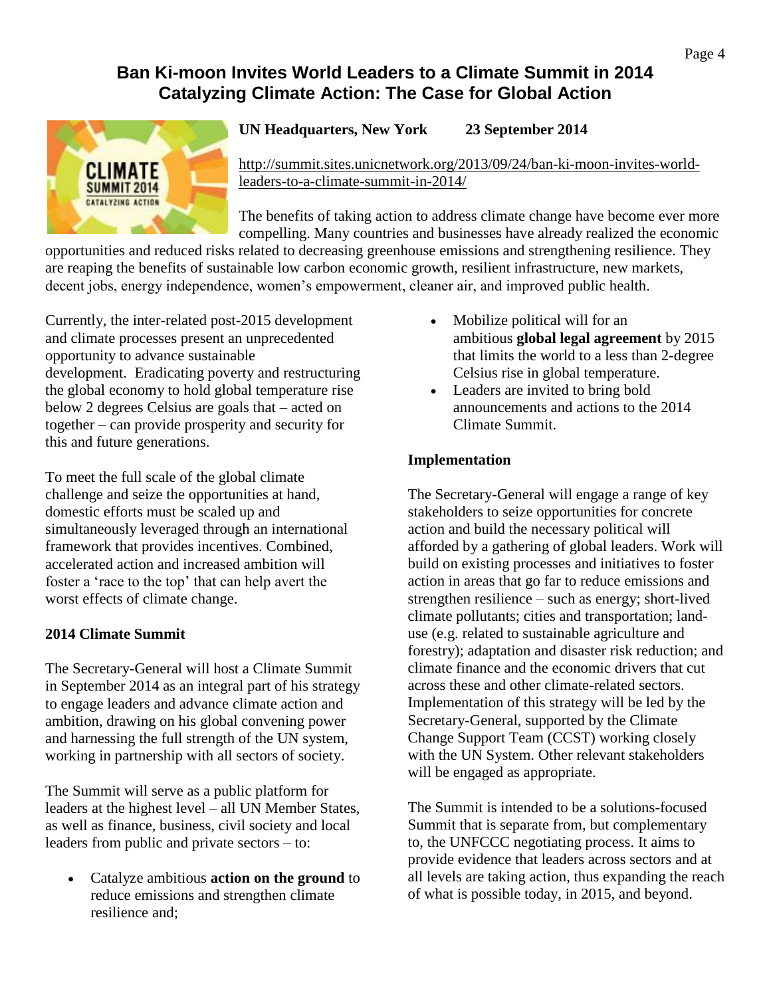### **Ban Ki-moon Invites World Leaders to a Climate Summit in 2014 Catalyzing Climate Action: The Case for Global Action**



**UN Headquarters, New York 23 September 2014**

[http://summit.sites.unicnetwork.org/2013/09/24/ban-ki-moon-invites-world](http://summit.sites.unicnetwork.org/2013/09/24/ban-ki-moon-invites-world-leaders-to-a-climate-summit-in-2014/)[leaders-to-a-climate-summit-in-2014/](http://summit.sites.unicnetwork.org/2013/09/24/ban-ki-moon-invites-world-leaders-to-a-climate-summit-in-2014/)

The benefits of taking action to address climate change have become ever more compelling. Many countries and businesses have already realized the economic

opportunities and reduced risks related to decreasing greenhouse emissions and strengthening resilience. They are reaping the benefits of sustainable low carbon economic growth, resilient infrastructure, new markets, decent jobs, energy independence, women's empowerment, cleaner air, and improved public health.

Currently, the inter-related post-2015 development and climate processes present an unprecedented opportunity to advance sustainable development. Eradicating poverty and restructuring the global economy to hold global temperature rise below 2 degrees Celsius are goals that – acted on together – can provide prosperity and security for this and future generations.

To meet the full scale of the global climate challenge and seize the opportunities at hand, domestic efforts must be scaled up and simultaneously leveraged through an international framework that provides incentives. Combined, accelerated action and increased ambition will foster a 'race to the top' that can help avert the worst effects of climate change.

### **2014 Climate Summit**

The Secretary-General will host a Climate Summit in September 2014 as an integral part of his strategy to engage leaders and advance climate action and ambition, drawing on his global convening power and harnessing the full strength of the UN system, working in partnership with all sectors of society.

The Summit will serve as a public platform for leaders at the highest level – all UN Member States, as well as finance, business, civil society and local leaders from public and private sectors – to:

 Catalyze ambitious **action on the ground** to reduce emissions and strengthen climate resilience and;

- Mobilize political will for an ambitious **global legal agreement** by 2015 that limits the world to a less than 2-degree Celsius rise in global temperature.
- Leaders are invited to bring bold announcements and actions to the 2014 Climate Summit.

### **Implementation**

The Secretary-General will engage a range of key stakeholders to seize opportunities for concrete action and build the necessary political will afforded by a gathering of global leaders. Work will build on existing processes and initiatives to foster action in areas that go far to reduce emissions and strengthen resilience – such as energy; short-lived climate pollutants; cities and transportation; landuse (e.g. related to sustainable agriculture and forestry); adaptation and disaster risk reduction; and climate finance and the economic drivers that cut across these and other climate-related sectors. Implementation of this strategy will be led by the Secretary-General, supported by the Climate Change Support Team (CCST) working closely with the UN System. Other relevant stakeholders will be engaged as appropriate.

The Summit is intended to be a solutions-focused Summit that is separate from, but complementary to, the UNFCCC negotiating process. It aims to provide evidence that leaders across sectors and at all levels are taking action, thus expanding the reach of what is possible today, in 2015, and beyond.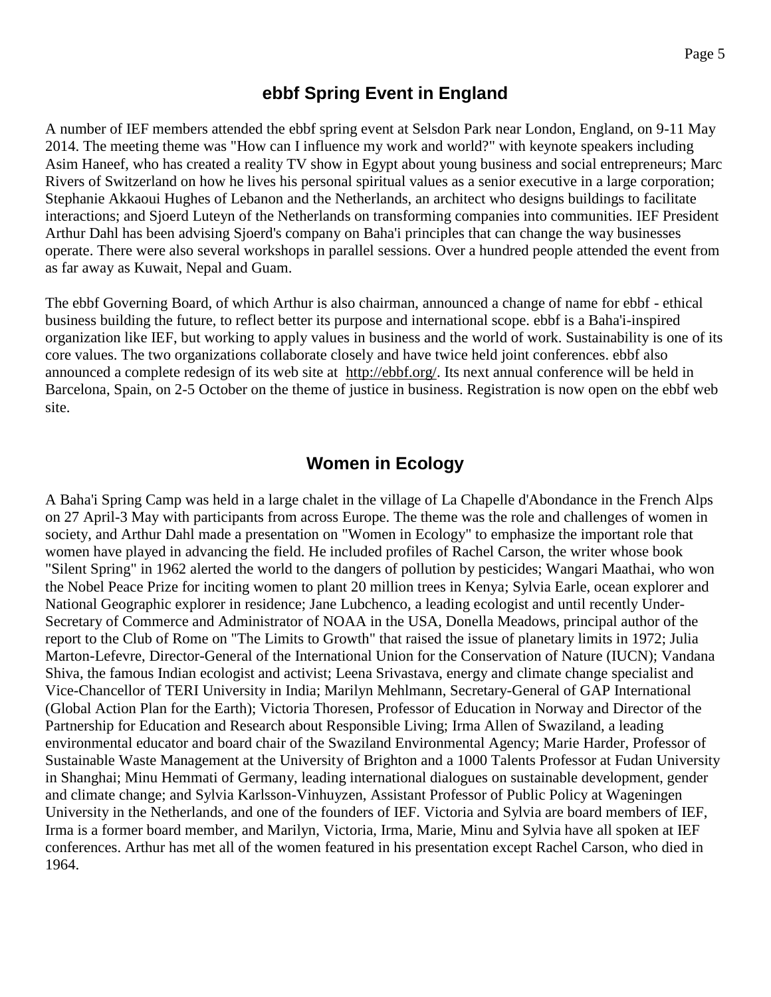### **ebbf Spring Event in England**

A number of IEF members attended the ebbf spring event at Selsdon Park near London, England, on 9-11 May 2014. The meeting theme was "How can I influence my work and world?" with keynote speakers including Asim Haneef, who has created a reality TV show in Egypt about young business and social entrepreneurs; Marc Rivers of Switzerland on how he lives his personal spiritual values as a senior executive in a large corporation; Stephanie Akkaoui Hughes of Lebanon and the Netherlands, an architect who designs buildings to facilitate interactions; and Sjoerd Luteyn of the Netherlands on transforming companies into communities. IEF President Arthur Dahl has been advising Sjoerd's company on Baha'i principles that can change the way businesses operate. There were also several workshops in parallel sessions. Over a hundred people attended the event from as far away as Kuwait, Nepal and Guam.

The ebbf Governing Board, of which Arthur is also chairman, announced a change of name for ebbf - ethical business building the future, to reflect better its purpose and international scope. ebbf is a Baha'i-inspired organization like IEF, but working to apply values in business and the world of work. Sustainability is one of its core values. The two organizations collaborate closely and have twice held joint conferences. ebbf also announced a complete redesign of its web site at [http://ebbf.org/.](http://ebbf.org/) Its next annual conference will be held in Barcelona, Spain, on 2-5 October on the theme of justice in business. Registration is now open on the ebbf web site.

### **Women in Ecology**

A Baha'i Spring Camp was held in a large chalet in the village of La Chapelle d'Abondance in the French Alps on 27 April-3 May with participants from across Europe. The theme was the role and challenges of women in society, and Arthur Dahl made a presentation on "Women in Ecology" to emphasize the important role that women have played in advancing the field. He included profiles of Rachel Carson, the writer whose book "Silent Spring" in 1962 alerted the world to the dangers of pollution by pesticides; Wangari Maathai, who won the Nobel Peace Prize for inciting women to plant 20 million trees in Kenya; Sylvia Earle, ocean explorer and National Geographic explorer in residence; Jane Lubchenco, a leading ecologist and until recently Under-Secretary of Commerce and Administrator of NOAA in the USA, Donella Meadows, principal author of the report to the Club of Rome on "The Limits to Growth" that raised the issue of planetary limits in 1972; Julia Marton-Lefevre, Director-General of the International Union for the Conservation of Nature (IUCN); Vandana Shiva, the famous Indian ecologist and activist; Leena Srivastava, energy and climate change specialist and Vice-Chancellor of TERI University in India; Marilyn Mehlmann, Secretary-General of GAP International (Global Action Plan for the Earth); Victoria Thoresen, Professor of Education in Norway and Director of the Partnership for Education and Research about Responsible Living; Irma Allen of Swaziland, a leading environmental educator and board chair of the Swaziland Environmental Agency; Marie Harder, Professor of Sustainable Waste Management at the University of Brighton and a 1000 Talents Professor at Fudan University in Shanghai; Minu Hemmati of Germany, leading international dialogues on sustainable development, gender and climate change; and Sylvia Karlsson-Vinhuyzen, Assistant Professor of Public Policy at Wageningen University in the Netherlands, and one of the founders of IEF. Victoria and Sylvia are board members of IEF, Irma is a former board member, and Marilyn, Victoria, Irma, Marie, Minu and Sylvia have all spoken at IEF conferences. Arthur has met all of the women featured in his presentation except Rachel Carson, who died in 1964.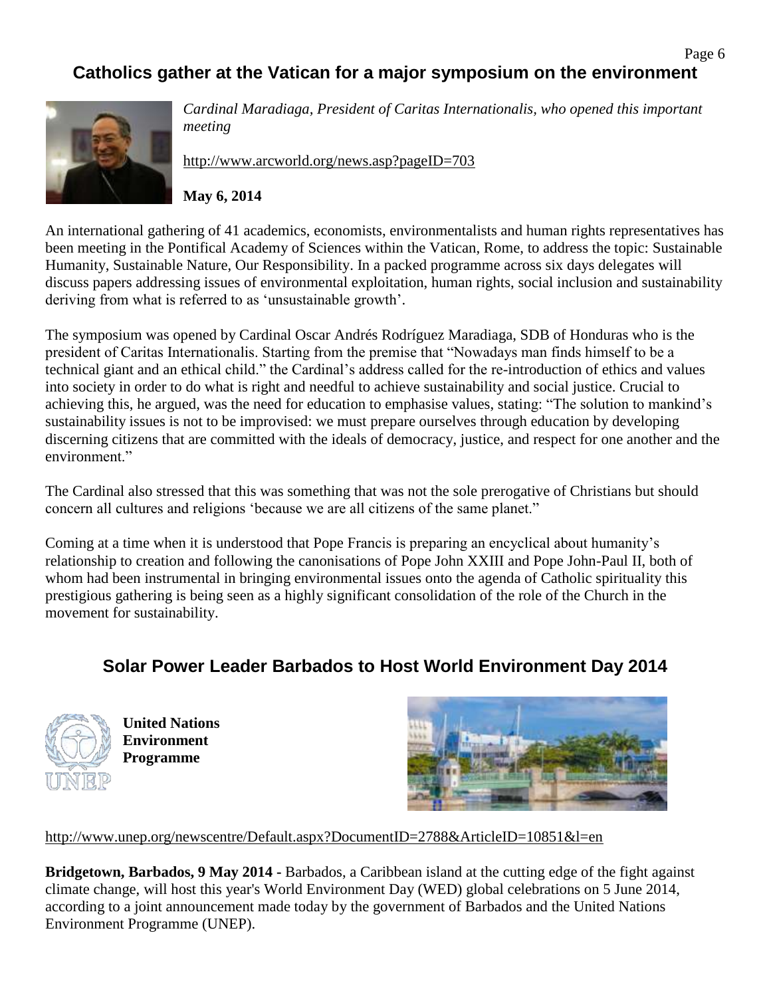# **Catholics gather at the Vatican for a major symposium on the environment**



*Cardinal Maradiaga, President of Caritas Internationalis, who opened this important meeting*

<http://www.arcworld.org/news.asp?pageID=703>

### **May 6, 2014**

An international gathering of 41 academics, economists, environmentalists and human rights representatives has been meeting in the Pontifical Academy of Sciences within the Vatican, Rome, to address the topic: Sustainable Humanity, Sustainable Nature, Our Responsibility. In a packed programme across six days delegates will discuss papers addressing issues of environmental exploitation, human rights, social inclusion and sustainability deriving from what is referred to as 'unsustainable growth'.

The symposium was opened by Cardinal Oscar Andrés Rodríguez Maradiaga, SDB of Honduras who is the president of Caritas Internationalis. Starting from the premise that "Nowadays man finds himself to be a technical giant and an ethical child." the Cardinal's address called for the re-introduction of ethics and values into society in order to do what is right and needful to achieve sustainability and social justice. Crucial to achieving this, he argued, was the need for education to emphasise values, stating: "The solution to mankind's sustainability issues is not to be improvised: we must prepare ourselves through education by developing discerning citizens that are committed with the ideals of democracy, justice, and respect for one another and the environment."

The Cardinal also stressed that this was something that was not the sole prerogative of Christians but should concern all cultures and religions 'because we are all citizens of the same planet."

Coming at a time when it is understood that Pope Francis is preparing an encyclical about humanity's relationship to creation and following the canonisations of Pope John XXIII and Pope John-Paul II, both of whom had been instrumental in bringing environmental issues onto the agenda of Catholic spirituality this prestigious gathering is being seen as a highly significant consolidation of the role of the Church in the movement for sustainability.

### **Solar Power Leader Barbados to Host World Environment Day 2014**



**United Nations Environment Programme**



<http://www.unep.org/newscentre/Default.aspx?DocumentID=2788&ArticleID=10851&l=en>

**Bridgetown, Barbados, 9 May 2014 -** Barbados, a Caribbean island at the cutting edge of the fight against climate change, will host this year's World Environment Day (WED) global celebrations on 5 June 2014, according to a joint announcement made today by the government of Barbados and the United Nations Environment Programme (UNEP).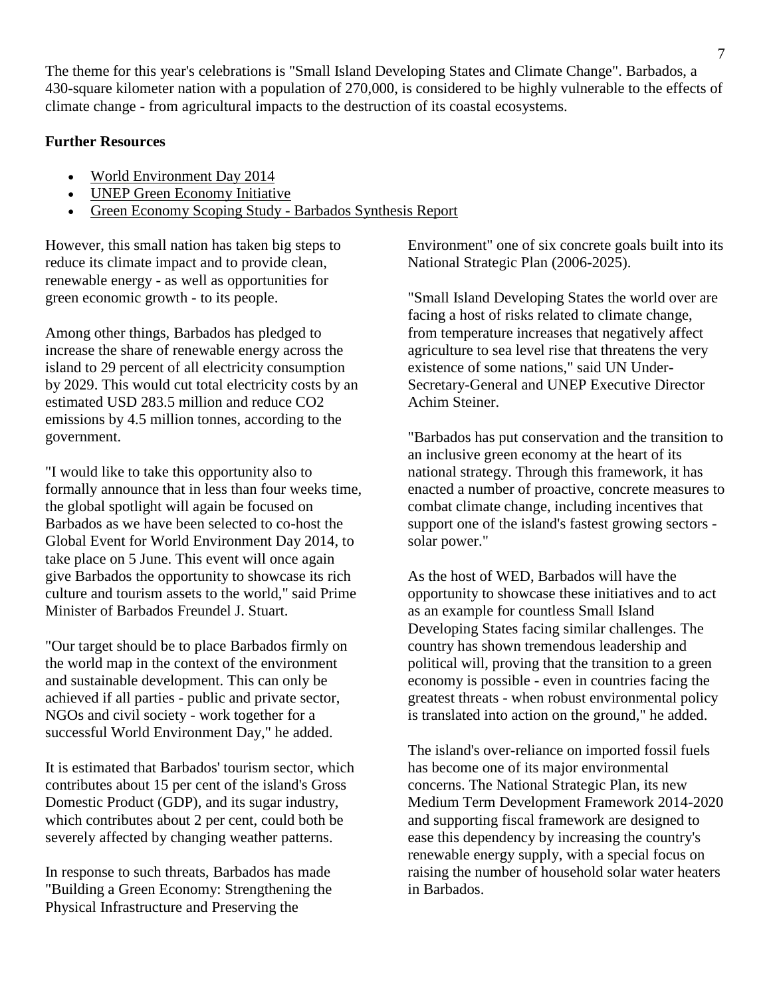The theme for this year's celebrations is "Small Island Developing States and Climate Change". Barbados, a 430-square kilometer nation with a population of 270,000, is considered to be highly vulnerable to the effects of climate change - from agricultural impacts to the destruction of its coastal ecosystems.

#### **Further Resources**

- [World Environment Day 2014](http://www.unep.org/wed/?utm_source=ARKive&utm_campaign=da253ee915-World_Environment_Day_5_29_2012&utm_medium=email)
- [UNEP Green Economy Initiative](http://www.unep.org/greeneconomy/)
- [Green Economy Scoping Study -](http://www.unep.org/greeneconomy/Portals/88/documents/SYNTHESIS%20REPORT_Barbados.pdf) Barbados Synthesis Report

However, this small nation has taken big steps to reduce its climate impact and to provide clean, renewable energy - as well as opportunities for green economic growth - to its people.

Among other things, Barbados has pledged to increase the share of renewable energy across the island to 29 percent of all electricity consumption by 2029. This would cut total electricity costs by an estimated USD 283.5 million and reduce CO2 emissions by 4.5 million tonnes, according to the government.

"I would like to take this opportunity also to formally announce that in less than four weeks time, the global spotlight will again be focused on Barbados as we have been selected to co-host the Global Event for World Environment Day 2014, to take place on 5 June. This event will once again give Barbados the opportunity to showcase its rich culture and tourism assets to the world," said Prime Minister of Barbados Freundel J. Stuart.

"Our target should be to place Barbados firmly on the world map in the context of the environment and sustainable development. This can only be achieved if all parties - public and private sector, NGOs and civil society - work together for a successful World Environment Day," he added.

It is estimated that Barbados' tourism sector, which contributes about 15 per cent of the island's Gross Domestic Product (GDP), and its sugar industry, which contributes about 2 per cent, could both be severely affected by changing weather patterns.

In response to such threats, Barbados has made "Building a Green Economy: Strengthening the Physical Infrastructure and Preserving the

Environment" one of six concrete goals built into its National Strategic Plan (2006-2025).

"Small Island Developing States the world over are facing a host of risks related to climate change, from temperature increases that negatively affect agriculture to sea level rise that threatens the very existence of some nations," said UN Under-Secretary-General and UNEP Executive Director Achim Steiner.

"Barbados has put conservation and the transition to an inclusive green economy at the heart of its national strategy. Through this framework, it has enacted a number of proactive, concrete measures to combat climate change, including incentives that support one of the island's fastest growing sectors solar power."

As the host of WED, Barbados will have the opportunity to showcase these initiatives and to act as an example for countless Small Island Developing States facing similar challenges. The country has shown tremendous leadership and political will, proving that the transition to a green economy is possible - even in countries facing the greatest threats - when robust environmental policy is translated into action on the ground," he added.

The island's over-reliance on imported fossil fuels has become one of its major environmental concerns. The National Strategic Plan, its new Medium Term Development Framework 2014-2020 and supporting fiscal framework are designed to ease this dependency by increasing the country's renewable energy supply, with a special focus on raising the number of household solar water heaters in Barbados.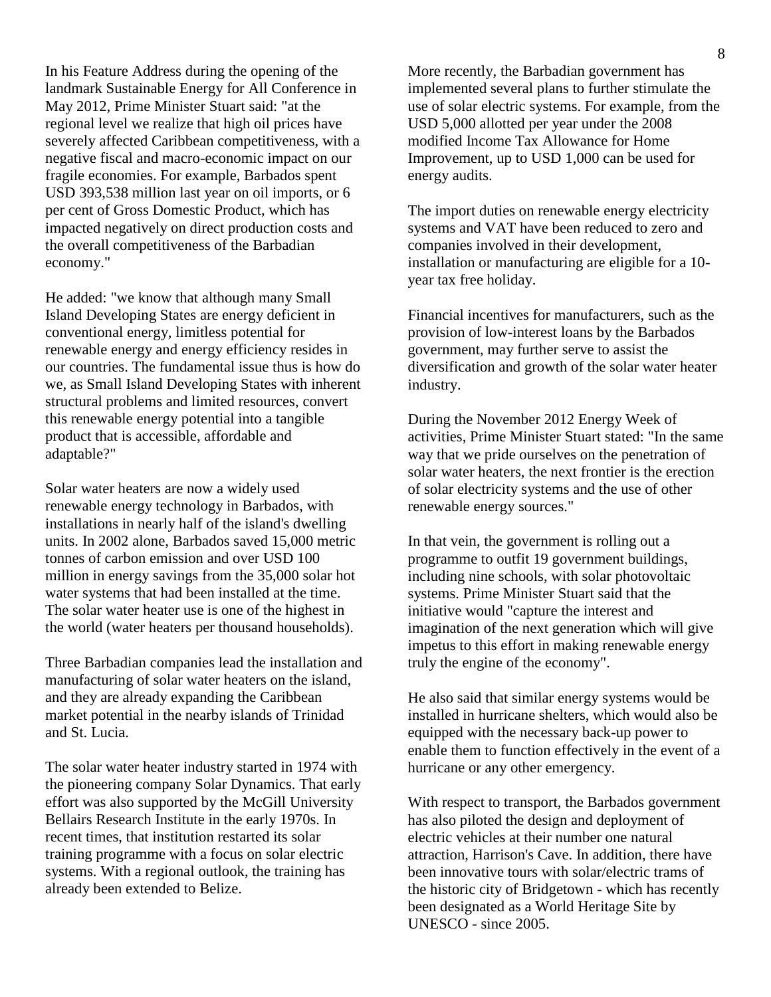In his Feature Address during the opening of the landmark Sustainable Energy for All Conference in May 2012, Prime Minister Stuart said: "at the regional level we realize that high oil prices have severely affected Caribbean competitiveness, with a negative fiscal and macro-economic impact on our fragile economies. For example, Barbados spent USD 393,538 million last year on oil imports, or 6 per cent of Gross Domestic Product, which has impacted negatively on direct production costs and the overall competitiveness of the Barbadian economy."

He added: "we know that although many Small Island Developing States are energy deficient in conventional energy, limitless potential for renewable energy and energy efficiency resides in our countries. The fundamental issue thus is how do we, as Small Island Developing States with inherent structural problems and limited resources, convert this renewable energy potential into a tangible product that is accessible, affordable and adaptable?"

Solar water heaters are now a widely used renewable energy technology in Barbados, with installations in nearly half of the island's dwelling units. In 2002 alone, Barbados saved 15,000 metric tonnes of carbon emission and over USD 100 million in energy savings from the 35,000 solar hot water systems that had been installed at the time. The solar water heater use is one of the highest in the world (water heaters per thousand households).

Three Barbadian companies lead the installation and manufacturing of solar water heaters on the island, and they are already expanding the Caribbean market potential in the nearby islands of Trinidad and St. Lucia.

The solar water heater industry started in 1974 with the pioneering company Solar Dynamics. That early effort was also supported by the McGill University Bellairs Research Institute in the early 1970s. In recent times, that institution restarted its solar training programme with a focus on solar electric systems. With a regional outlook, the training has already been extended to Belize.

More recently, the Barbadian government has implemented several plans to further stimulate the use of solar electric systems. For example, from the USD 5,000 allotted per year under the 2008 modified Income Tax Allowance for Home Improvement, up to USD 1,000 can be used for energy audits.

The import duties on renewable energy electricity systems and VAT have been reduced to zero and companies involved in their development, installation or manufacturing are eligible for a 10 year tax free holiday.

Financial incentives for manufacturers, such as the provision of low-interest loans by the Barbados government, may further serve to assist the diversification and growth of the solar water heater industry.

During the November 2012 Energy Week of activities, Prime Minister Stuart stated: "In the same way that we pride ourselves on the penetration of solar water heaters, the next frontier is the erection of solar electricity systems and the use of other renewable energy sources."

In that vein, the government is rolling out a programme to outfit 19 government buildings, including nine schools, with solar photovoltaic systems. Prime Minister Stuart said that the initiative would "capture the interest and imagination of the next generation which will give impetus to this effort in making renewable energy truly the engine of the economy".

He also said that similar energy systems would be installed in hurricane shelters, which would also be equipped with the necessary back-up power to enable them to function effectively in the event of a hurricane or any other emergency.

With respect to transport, the Barbados government has also piloted the design and deployment of electric vehicles at their number one natural attraction, Harrison's Cave. In addition, there have been innovative tours with solar/electric trams of the historic city of Bridgetown - which has recently been designated as a World Heritage Site by UNESCO - since 2005.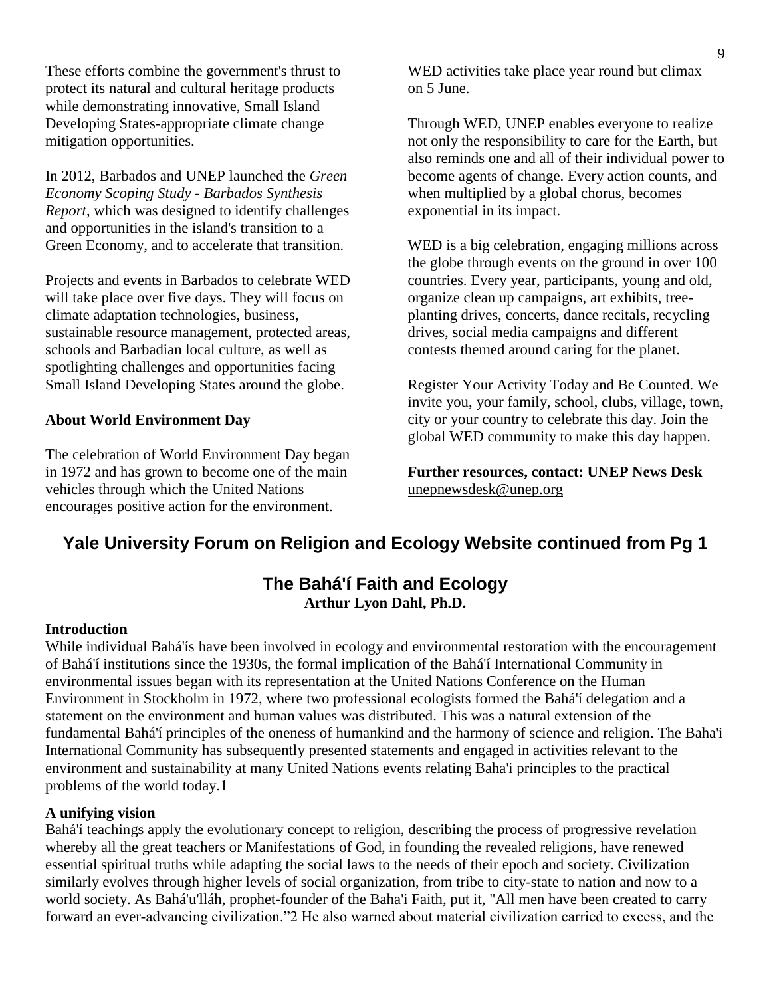These efforts combine the government's thrust to protect its natural and cultural heritage products while demonstrating innovative, Small Island Developing States-appropriate climate change mitigation opportunities.

In 2012, Barbados and UNEP launched the *Green Economy Scoping Study - Barbados Synthesis Report*, which was designed to identify challenges and opportunities in the island's transition to a Green Economy, and to accelerate that transition.

Projects and events in Barbados to celebrate WED will take place over five days. They will focus on climate adaptation technologies, business, sustainable resource management, protected areas, schools and Barbadian local culture, as well as spotlighting challenges and opportunities facing Small Island Developing States around the globe.

#### **About World Environment Day**

The celebration of World Environment Day began in 1972 and has grown to become one of the main vehicles through which the United Nations encourages positive action for the environment.

WED activities take place year round but climax on 5 June.

Through WED, UNEP enables everyone to realize not only the responsibility to care for the Earth, but also reminds one and all of their individual power to become agents of change. Every action counts, and when multiplied by a global chorus, becomes exponential in its impact.

WED is a big celebration, engaging millions across the globe through events on the ground in over 100 countries. Every year, participants, young and old, organize clean up campaigns, art exhibits, treeplanting drives, concerts, dance recitals, recycling drives, social media campaigns and different contests themed around caring for the planet.

Register Your Activity Today and Be Counted. We invite you, your family, school, clubs, village, town, city or your country to celebrate this day. Join the global WED community to make this day happen.

**Further resources, contact: UNEP News Desk**  [unepnewsdesk@unep.org](mailto:unepnewsdesk@unep.org)

### **Yale University Forum on Religion and Ecology Website continued from Pg 1**

### **The Bahá'í Faith and Ecology Arthur Lyon Dahl, Ph.D.**

#### **Introduction**

While individual Bahá'ís have been involved in ecology and environmental restoration with the encouragement of Bahá'í institutions since the 1930s, the formal implication of the Bahá'í International Community in environmental issues began with its representation at the United Nations Conference on the Human Environment in Stockholm in 1972, where two professional ecologists formed the Bahá'í delegation and a statement on the environment and human values was distributed. This was a natural extension of the fundamental Bahá'í principles of the oneness of humankind and the harmony of science and religion. The Baha'i International Community has subsequently presented statements and engaged in activities relevant to the environment and sustainability at many United Nations events relating Baha'i principles to the practical problems of the world today.1

#### **A unifying vision**

Bahá'í teachings apply the evolutionary concept to religion, describing the process of progressive revelation whereby all the great teachers or Manifestations of God, in founding the revealed religions, have renewed essential spiritual truths while adapting the social laws to the needs of their epoch and society. Civilization similarly evolves through higher levels of social organization, from tribe to city-state to nation and now to a world society. As Bahá'u'lláh, prophet-founder of the Baha'i Faith, put it, "All men have been created to carry forward an ever-advancing civilization."2 He also warned about material civilization carried to excess, and the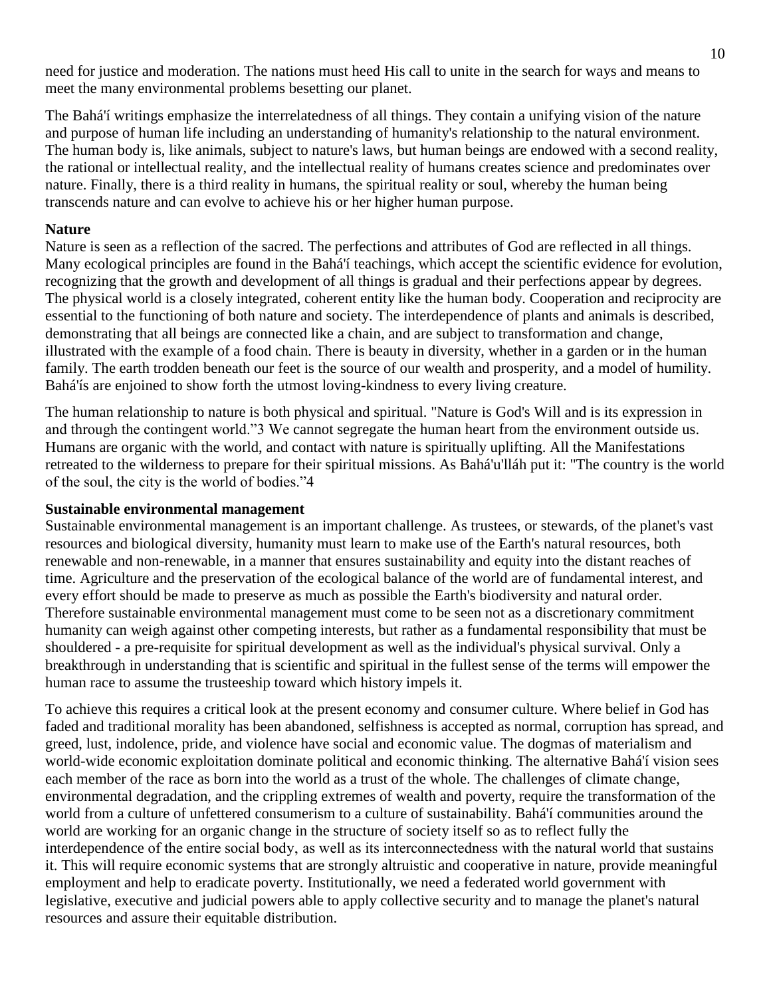need for justice and moderation. The nations must heed His call to unite in the search for ways and means to meet the many environmental problems besetting our planet.

The Bahá'í writings emphasize the interrelatedness of all things. They contain a unifying vision of the nature and purpose of human life including an understanding of humanity's relationship to the natural environment. The human body is, like animals, subject to nature's laws, but human beings are endowed with a second reality, the rational or intellectual reality, and the intellectual reality of humans creates science and predominates over nature. Finally, there is a third reality in humans, the spiritual reality or soul, whereby the human being transcends nature and can evolve to achieve his or her higher human purpose.

#### **Nature**

Nature is seen as a reflection of the sacred. The perfections and attributes of God are reflected in all things. Many ecological principles are found in the Bahá'í teachings, which accept the scientific evidence for evolution, recognizing that the growth and development of all things is gradual and their perfections appear by degrees. The physical world is a closely integrated, coherent entity like the human body. Cooperation and reciprocity are essential to the functioning of both nature and society. The interdependence of plants and animals is described, demonstrating that all beings are connected like a chain, and are subject to transformation and change, illustrated with the example of a food chain. There is beauty in diversity, whether in a garden or in the human family. The earth trodden beneath our feet is the source of our wealth and prosperity, and a model of humility. Bahá'ís are enjoined to show forth the utmost loving-kindness to every living creature.

The human relationship to nature is both physical and spiritual. "Nature is God's Will and is its expression in and through the contingent world."3 We cannot segregate the human heart from the environment outside us. Humans are organic with the world, and contact with nature is spiritually uplifting. All the Manifestations retreated to the wilderness to prepare for their spiritual missions. As Bahá'u'lláh put it: "The country is the world of the soul, the city is the world of bodies."4

#### **Sustainable environmental management**

Sustainable environmental management is an important challenge. As trustees, or stewards, of the planet's vast resources and biological diversity, humanity must learn to make use of the Earth's natural resources, both renewable and non-renewable, in a manner that ensures sustainability and equity into the distant reaches of time. Agriculture and the preservation of the ecological balance of the world are of fundamental interest, and every effort should be made to preserve as much as possible the Earth's biodiversity and natural order. Therefore sustainable environmental management must come to be seen not as a discretionary commitment humanity can weigh against other competing interests, but rather as a fundamental responsibility that must be shouldered - a pre-requisite for spiritual development as well as the individual's physical survival. Only a breakthrough in understanding that is scientific and spiritual in the fullest sense of the terms will empower the human race to assume the trusteeship toward which history impels it.

To achieve this requires a critical look at the present economy and consumer culture. Where belief in God has faded and traditional morality has been abandoned, selfishness is accepted as normal, corruption has spread, and greed, lust, indolence, pride, and violence have social and economic value. The dogmas of materialism and world-wide economic exploitation dominate political and economic thinking. The alternative Bahá'í vision sees each member of the race as born into the world as a trust of the whole. The challenges of climate change, environmental degradation, and the crippling extremes of wealth and poverty, require the transformation of the world from a culture of unfettered consumerism to a culture of sustainability. Bahá'í communities around the world are working for an organic change in the structure of society itself so as to reflect fully the interdependence of the entire social body, as well as its interconnectedness with the natural world that sustains it. This will require economic systems that are strongly altruistic and cooperative in nature, provide meaningful employment and help to eradicate poverty. Institutionally, we need a federated world government with legislative, executive and judicial powers able to apply collective security and to manage the planet's natural resources and assure their equitable distribution.